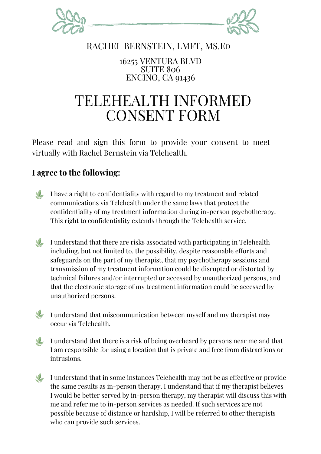

## RACHEL BERNSTEIN, LMFT, MS.ED

16255 VENTURA BLVD SUITE 806 ENCINO, CA 91436

## TELEHEALTH INFORMED CONSENT FORM

Please read and sign this form to provide your consent to meet virtually with Rachel Bernstein via Telehealth.

## **I agree to the following:**

I have a right to confidentiality with regard to my treatment and related communications via Telehealth under the same laws that protect the confidentiality of my treatment information during in-person psychotherapy. This right to confidentiality extends through the Telehealth service.

I understand that there are risks associated with participating in Telehealth including, but not limited to, the possibility, despite reasonable efforts and safeguards on the part of my therapist, that my psychotherapy sessions and transmission of my treatment information could be disrupted or distorted by technical failures and/or interrupted or accessed by unauthorized persons, and that the electronic storage of my treatment information could be accessed by unauthorized persons.

 $\blacktriangleright$  I understand that miscommunication between myself and my therapist may occur via Telehealth.

I understand that there is a risk of being overheard by persons near me and that I am responsible for using a location that is private and free from distractions or intrusions.

I understand that in some instances Telehealth may not be as effective or provide the same results as in-person therapy. I understand that if my therapist believes I would be better served by in-person therapy, my therapist will discuss this with me and refer me to in-person services as needed. If such services are not possible because of distance or hardship, I will be referred to other therapists who can provide such services.